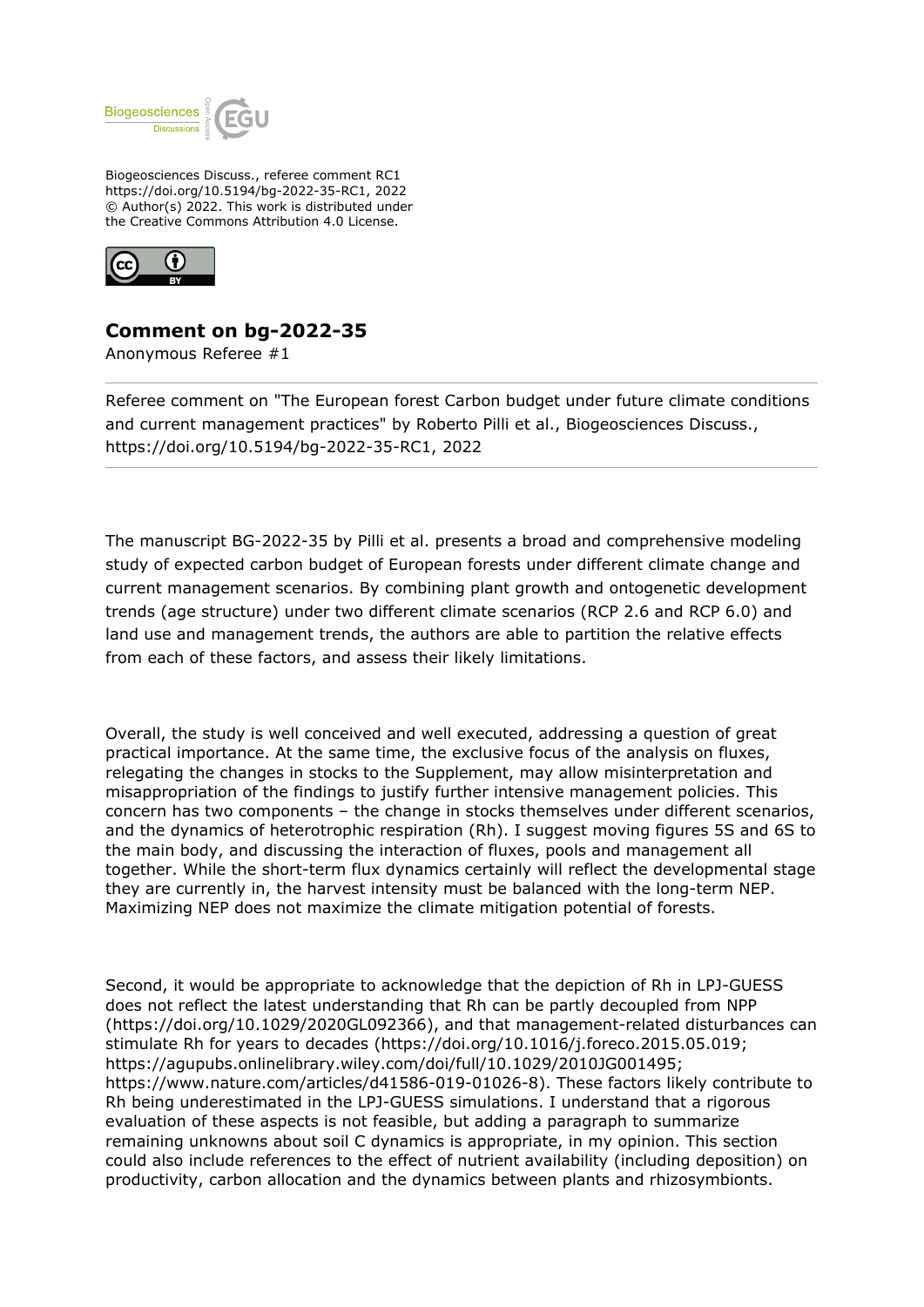

Biogeosciences Discuss., referee comment RC1 https://doi.org/10.5194/bg-2022-35-RC1, 2022 © Author(s) 2022. This work is distributed under the Creative Commons Attribution 4.0 License.



## **Comment on bg-2022-35**

Anonymous Referee #1

Referee comment on "The European forest Carbon budget under future climate conditions and current management practices" by Roberto Pilli et al., Biogeosciences Discuss., https://doi.org/10.5194/bg-2022-35-RC1, 2022

The manuscript BG-2022-35 by Pilli et al. presents a broad and comprehensive modeling study of expected carbon budget of European forests under different climate change and current management scenarios. By combining plant growth and ontogenetic development trends (age structure) under two different climate scenarios (RCP 2.6 and RCP 6.0) and land use and management trends, the authors are able to partition the relative effects from each of these factors, and assess their likely limitations.

Overall, the study is well conceived and well executed, addressing a question of great practical importance. At the same time, the exclusive focus of the analysis on fluxes, relegating the changes in stocks to the Supplement, may allow misinterpretation and misappropriation of the findings to justify further intensive management policies. This concern has two components – the change in stocks themselves under different scenarios, and the dynamics of heterotrophic respiration (Rh). I suggest moving figures 5S and 6S to the main body, and discussing the interaction of fluxes, pools and management all together. While the short-term flux dynamics certainly will reflect the developmental stage they are currently in, the harvest intensity must be balanced with the long-term NEP. Maximizing NEP does not maximize the climate mitigation potential of forests.

Second, it would be appropriate to acknowledge that the depiction of Rh in LPJ-GUESS does not reflect the latest understanding that Rh can be partly decoupled from NPP (https://doi.org/10.1029/2020GL092366), and that management-related disturbances can stimulate Rh for years to decades (https://doi.org/10.1016/j.foreco.2015.05.019; https://agupubs.onlinelibrary.wiley.com/doi/full/10.1029/2010JG001495; https://www.nature.com/articles/d41586-019-01026-8). These factors likely contribute to Rh being underestimated in the LPJ-GUESS simulations. I understand that a rigorous evaluation of these aspects is not feasible, but adding a paragraph to summarize remaining unknowns about soil C dynamics is appropriate, in my opinion. This section could also include references to the effect of nutrient availability (including deposition) on productivity, carbon allocation and the dynamics between plants and rhizosymbionts.